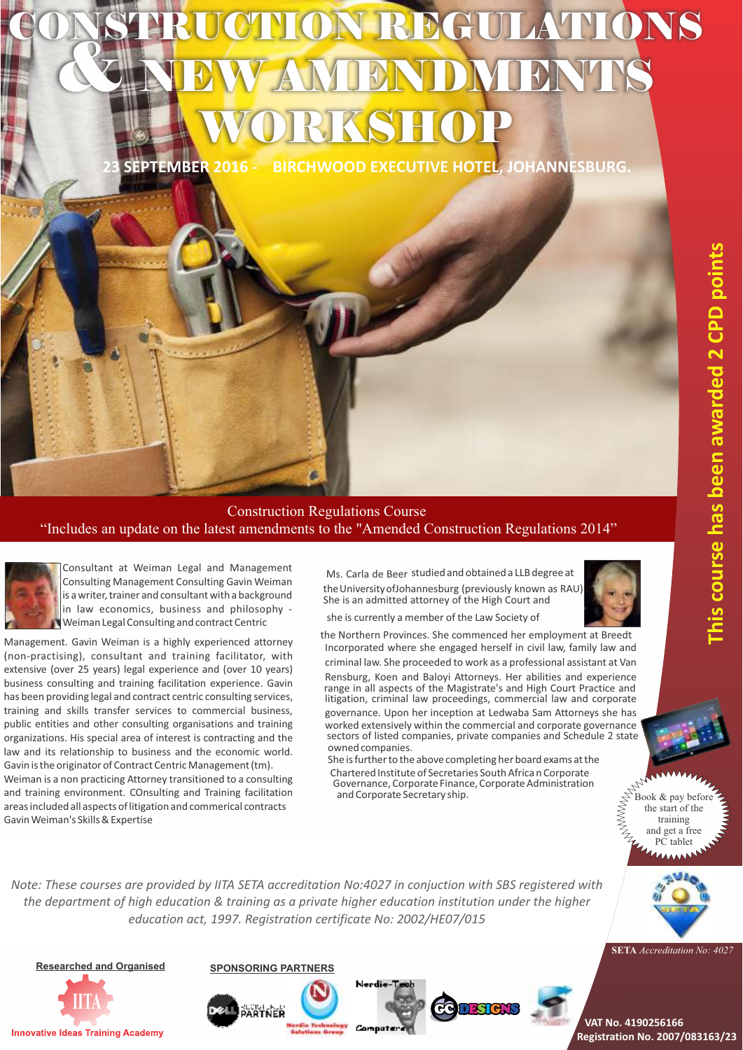# **NON REG** & NEW AMENDMENTS WORKSHOP

**23 SEPTEMBER 2016 - BIRCHWOOD EXECUTIVE HOTEL, JOHANNESBURG.**



Consultant at Weiman Legal and Management Consulting Management Consulting Gavin Weiman is a writer, trainer and consultant with a background in law economics, business and philosophy - Weiman Legal Consulting and contract Centric

Management. Gavin Weiman is a highly experienced attorney (non-practising), consultant and training facilitator, with extensive (over 25 years) legal experience and (over 10 years) business consulting and training facilitation experience. Gavin has been providing legal and contract centric consulting services, training and skills transfer services to commercial business, public entities and other consulting organisations and training organizations. His special area of interest is contracting and the law and its relationship to business and the economic world. Gavin is the originator of Contract Centric Management (tm).

Weiman is a non practicing Attorney transitioned to a consulting and training environment. COnsulting and Training facilitation areas included all aspects of litigation and commerical contracts GavinWeiman's Skills&Expertise

Ms. Carla de Beer studied and obtained a LLB degree at theUniversity ofJohannesburg (previously known as RAU) . She is an admitted attorney of the High Court and



she is currently a member of the Law Society of

the Northern Provinces. She commenced her employment at Breedt Incorporated where she engaged herself in civil law, family law and criminal law. She proceeded to work as a professional assistant at Van Rensburg, Koen and Baloyi Attorneys. Her abilities and experience range in all aspects of the Magistrate's and High Court Practice and litigation, criminal law proceedings, commercial law and corporate governance. Upon her inception at Ledwaba Sam Attorneys she has

worked extensively within the commercial and corporate governance sectors of listed companies, private companies and Schedule 2 state owned companies. She isfurtherto the above completing her board exams atthe

Chartered Institute of Secretaries SouthAfrica n Corporate Governance, Corporate Finance, Corporate Administration and Corporate Secretary ship.

Book & pay before the start of the training and get a free PC tablet

*Note: These courses are provided by IITA SETA accreditation No:4027 in conjuction with SBS registered with the department of high education & training as a private higher education institution under the higher education act, 1997. Registration certificate No: 2002/HE07/015*

**Researched and Organised Innovative Ideas Training Academy** 





**VAT No. 4190256166 Registration No. 2007/083163/23**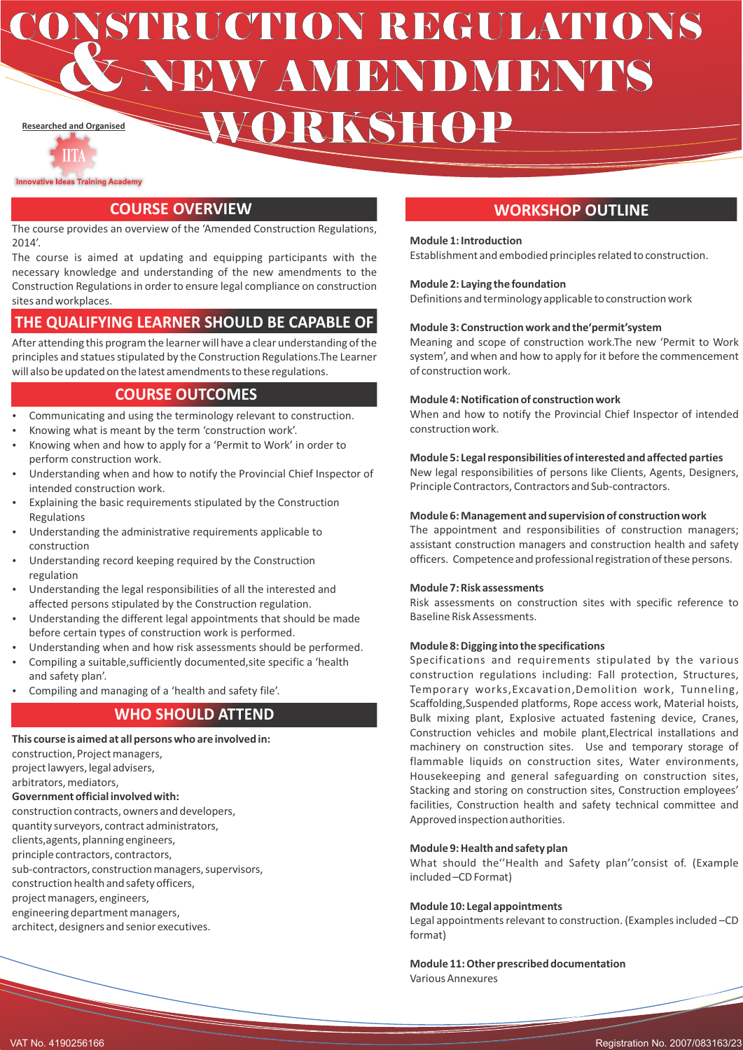**Researched and Organised CONSTRUCTION REGULATIONS** WORKSHOP

**Innovative Ideas Training Academy** 

The course provides an overview of the 'Amended Construction Regulations,  $2014'$ 

The course is aimed at updating and equipping participants with the necessary knowledge and understanding of the new amendments to the Construction Regulations in order to ensure legal compliance on construction sites and workplaces.

#### **THE QUALIFYING LEARNER SHOULD BE CAPABLE OF**

After attending this program the learner will have a clear understanding of the principles and statues stipulated by the Construction Regulations.The Learner will also be updated on the latest amendments to these regulations.

#### **The guard be course outcomes**

- Communicating and using the terminology relevant to construction.
- Knowing what is meant by the term 'construction work'. Knowing when and how to apply for a 'Permit to Work' in order to perform construction work.
- Understanding when and how to notify the Provincial Chief Inspector of intended construction work.
- Explaining the basic requirements stipulated by the Construction Regulations
- Understanding the administrative requirements applicable to construction
- Understanding record keeping required by the Construction regulation
- Understanding the legal responsibilities of all the interested and affected persons stipulated by the Construction regulation.
- Understanding the different legal appointments that should be made before certain types of construction work is performed.
- Understanding when and how risk assessments should be performed.
- Compiling a suitable, sufficiently documented, site specific a 'health and safety plan'.
- Compiling and managing of a 'health and safety file'.

### **WHO SHOULD ATTEND**

**This course is aimed at all persons who are involved in:**  construction, Project managers, project lawyers, legal advisers, arbitrators, mediators, **Government official involved with:**  construction contracts, owners and developers, quantity surveyors, contract administrators, clients,agents, planning engineers, principle contractors, contractors, sub-contractors, construction managers, supervisors, construction health and safety officers, project managers, engineers, engineering department managers, architect, designers and senior executives.

#### **COURSE OVERVIEW And COURSE OVERVIEW**

#### **Module 1: Introduction**

Establishment and embodied principles related to construction.

#### **Module 2: Laying the foundation**

Definitions and terminology applicable to construction work

#### **Module 3: Construction work and the'permit'system**

Meaning and scope of construction work.The new 'Permit to Work system', and when and how to apply for it before the commencement of construction work.

#### **Module 4: Notification of construction work**

When and how to notify the Provincial Chief Inspector of intended construction work.

#### **Module 5: Legal responsibilities of interested and affected parties**

New legal responsibilities of persons like Clients, Agents, Designers, Principle Contractors, Contractors and Sub-contractors.

#### **Module 6: Management and supervision of construction work**

The appointment and responsibilities of construction managers; assistant construction managers and construction health and safety officers. Competence and professional registration of these persons.

#### **Module 7: Risk assessments**

Risk assessments on construction sites with specific reference to Baseline Risk Assessments.

#### **Module 8: Digging into the specifications**

Specifications and requirements stipulated by the various construction regulations including: Fall protection, Structures, Temporary works,Excavation,Demolition work, Tunneling, Scaffolding,Suspended platforms, Rope access work, Material hoists, Bulk mixing plant, Explosive actuated fastening device, Cranes, Construction vehicles and mobile plant,Electrical installations and machinery on construction sites. Use and temporary storage of flammable liquids on construction sites, Water environments, Housekeeping and general safeguarding on construction sites, Stacking and storing on construction sites, Construction employees' facilities, Construction health and safety technical committee and Approved inspection authorities.

#### **Module 9: Health and safety plan**

What should the''Health and Safety plan''consist of. (Example included –CD Format)

#### **Module 10: Legal appointments**

Legal appointments relevant to construction. (Examples included –CD format)

**Module 11: Other prescribed documentation** Various Annexures